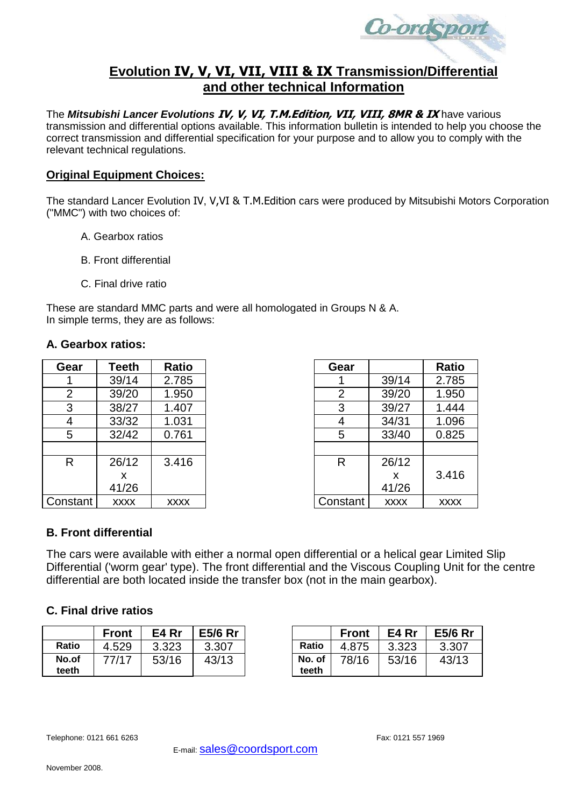

# **Evolution IV, V, VI, VII, VIII & IX Transmission/Differential and other technical Information**

The *Mitsubishi Lancer Evolutions* **IV, V, VI, T.M.Edition, VII, VIII, 8MR & IX** have various transmission and differential options available. This information bulletin is intended to help you choose the correct transmission and differential specification for your purpose and to allow you to comply with the relevant technical regulations.

### **Original Equipment Choices:**

The standard Lancer Evolution IV, V,VI & T.M.Edition cars were produced by Mitsubishi Motors Corporation ("MMC") with two choices of:

- A. Gearbox ratios
- B. Front differential
- C. Final drive ratio

These are standard MMC parts and were all homologated in Groups N & A. In simple terms, they are as follows:

#### **A. Gearbox ratios:**

| Gear           | Teeth       | Ratio       | Gear           |             | <b>Ratio</b> |
|----------------|-------------|-------------|----------------|-------------|--------------|
|                | 39/14       | 2.785       |                | 39/14       | 2.785        |
| $\overline{2}$ | 39/20       | 1.950       | $\overline{2}$ | 39/20       | 1.950        |
| 3              | 38/27       | 1.407       | 3              | 39/27       | 1.444        |
| 4              | 33/32       | 1.031       | 4              | 34/31       | 1.096        |
| 5              | 32/42       | 0.761       | 5              | 33/40       | 0.825        |
|                |             |             |                |             |              |
| R              | 26/12       | 3.416       | R              | 26/12       |              |
|                | x           |             |                | X           | 3.416        |
|                | 41/26       |             |                | 41/26       |              |
| Constant       | <b>XXXX</b> | <b>XXXX</b> | Constant       | <b>XXXX</b> | <b>XXXX</b>  |

| Gear     | Teeth       | <b>Ratio</b> | Gear     |             | <b>Ratio</b> |
|----------|-------------|--------------|----------|-------------|--------------|
|          | 39/14       | 2.785        |          | 39/14       | 2.785        |
| 2        | 39/20       | 1.950        | 2        | 39/20       | 1.950        |
| 3        | 38/27       | 1.407        | 3        | 39/27       | 1.444        |
| 4        | 33/32       | 1.031        | 4        | 34/31       | 1.096        |
| 5        | 32/42       | 0.761        | 5        | 33/40       | 0.825        |
|          |             |              |          |             |              |
| R        | 26/12       | 3.416        | R        | 26/12       |              |
|          | x           |              |          | X           | 3.416        |
|          | 41/26       |              |          | 41/26       |              |
| Constant | <b>XXXX</b> | <b>XXXX</b>  | Constant | <b>XXXX</b> | <b>XXXX</b>  |

## **B. Front differential**

The cars were available with either a normal open differential or a helical gear Limited Slip Differential ('worm gear' type). The front differential and the Viscous Coupling Unit for the centre differential are both located inside the transfer box (not in the main gearbox).

## **C. Final drive ratios**

|                | <b>Front</b> | E4 Rr | <b>E5/6 Rr</b> |                 | <b>Front</b> | E4 Rr | <b>E5/6 Rr</b> |
|----------------|--------------|-------|----------------|-----------------|--------------|-------|----------------|
| Ratio          | 4.529        | 3.323 | 3.307          | Ratio           | 4.875        | 3.323 | 3.307          |
| No.of<br>teeth | 77/17        | 53/16 | 43/13          | No. of<br>teeth | 78/16        | 53/16 | 43/13          |

|                 | <b>Front</b> | E4 Rr | <b>E5/6 Rr</b> |
|-----------------|--------------|-------|----------------|
| <b>Ratio</b>    | 4.875        | 3.323 | 3.307          |
| No. of<br>teeth | 78/16        | 53/16 | 43/13          |

Telephone: 0121 661 6263 Fax: 0121 661 6263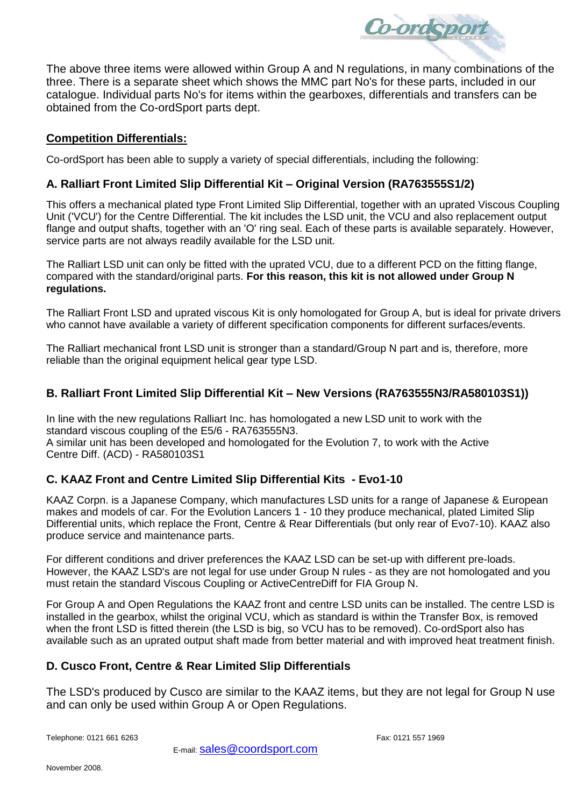

The above three items were allowed within Group A and N regulations, in many combinations of the three. There is a separate sheet which shows the MMC part No's for these parts, included in our catalogue. Individual parts No's for items within the gearboxes, differentials and transfers can be obtained from the Co-ordSport parts dept.

## **Competition Differentials:**

Co-ordSport has been able to supply a variety of special differentials, including the following:

## **A. Ralliart Front Limited Slip Differential Kit – Original Version (RA763555S1/2)**

This offers a mechanical plated type Front Limited Slip Differential, together with an uprated Viscous Coupling Unit ('VCU') for the Centre Differential. The kit includes the LSD unit, the VCU and also replacement output flange and output shafts, together with an 'O' ring seal. Each of these parts is available separately. However, service parts are not always readily available for the LSD unit.

The Ralliart LSD unit can only be fitted with the uprated VCU, due to a different PCD on the fitting flange, compared with the standard/original parts. **For this reason, this kit is not allowed under Group N regulations.**

The Ralliart Front LSD and uprated viscous Kit is only homologated for Group A, but is ideal for private drivers who cannot have available a variety of different specification components for different surfaces/events.

The Ralliart mechanical front LSD unit is stronger than a standard/Group N part and is, therefore, more reliable than the original equipment helical gear type LSD.

## **B. Ralliart Front Limited Slip Differential Kit – New Versions (RA763555N3/RA580103S1))**

In line with the new regulations Ralliart Inc. has homologated a new LSD unit to work with the standard viscous coupling of the E5/6 - RA763555N3. A similar unit has been developed and homologated for the Evolution 7, to work with the Active Centre Diff. (ACD) - RA580103S1

# **C. KAAZ Front and Centre Limited Slip Differential Kits - Evo1-10**

KAAZ Corpn. is a Japanese Company, which manufactures LSD units for a range of Japanese & European makes and models of car. For the Evolution Lancers 1 - 10 they produce mechanical, plated Limited Slip Differential units, which replace the Front, Centre & Rear Differentials (but only rear of Evo7-10). KAAZ also produce service and maintenance parts.

For different conditions and driver preferences the KAAZ LSD can be set-up with different pre-loads. However, the KAAZ LSD's are not legal for use under Group N rules - as they are not homologated and you must retain the standard Viscous Coupling or ActiveCentreDiff for FIA Group N.

For Group A and Open Regulations the KAAZ front and centre LSD units can be installed. The centre LSD is installed in the gearbox, whilst the original VCU, which as standard is within the Transfer Box, is removed when the front LSD is fitted therein (the LSD is big, so VCU has to be removed). Co-ordSport also has available such as an uprated output shaft made from better material and with improved heat treatment finish.

## **D. Cusco Front, Centre & Rear Limited Slip Differentials**

The LSD's produced by Cusco are similar to the KAAZ items, but they are not legal for Group N use and can only be used within Group A or Open Regulations.

Telephone: 0121 661 6263 Fax: 0121 557 1969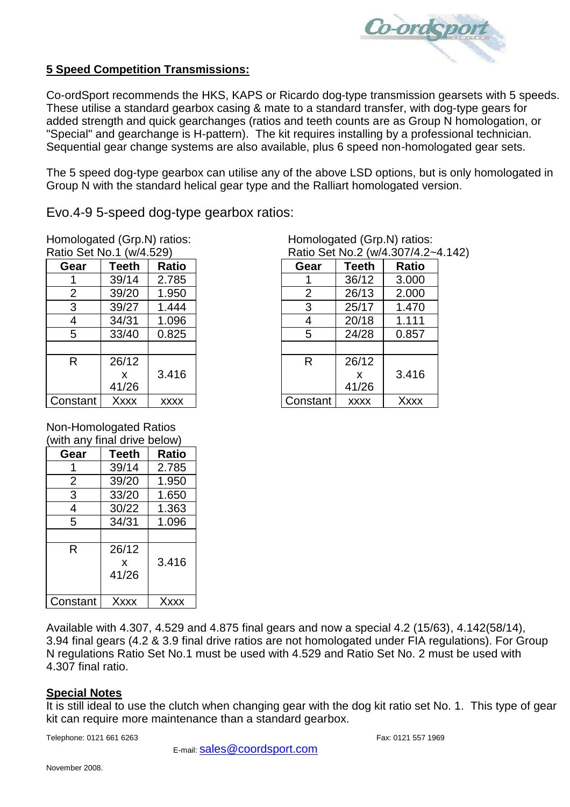

## **5 Speed Competition Transmissions:**

Co-ordSport recommends the HKS, KAPS or Ricardo dog-type transmission gearsets with 5 speeds. These utilise a standard gearbox casing & mate to a standard transfer, with dog-type gears for added strength and quick gearchanges (ratios and teeth counts are as Group N homologation, or "Special" and gearchange is H-pattern). The kit requires installing by a professional technician. Sequential gear change systems are also available, plus 6 speed non-homologated gear sets.

The 5 speed dog-type gearbox can utilise any of the above LSD options, but is only homologated in Group N with the standard helical gear type and the Ralliart homologated version.

Evo.4-9 5-speed dog-type gearbox ratios:

Homologated (Grp.N) ratios:<br>
Ratio Set No.1 (w/4.529) <br>
Ratio Set No.2 (w/4.307/4.2-

| Gear           | Teeth | <b>Ratio</b> | Gear     | <b>Teeth</b> | <b>Ratic</b> |
|----------------|-------|--------------|----------|--------------|--------------|
|                | 39/14 | 2.785        |          | 36/12        | 3.000        |
| $\overline{2}$ | 39/20 | 1.950        | 2        | 26/13        | 2.000        |
| 3              | 39/27 | 1.444        | 3        | 25/17        | 1.470        |
| 4              | 34/31 | 1.096        | 4        | 20/18        | 1.111        |
| 5              | 33/40 | 0.825        | 5        | 24/28        | 0.857        |
|                |       |              |          |              |              |
| R              | 26/12 |              | R        | 26/12        |              |
|                | X     | 3.416        |          | X            | 3.416        |
|                | 41/26 |              |          | 41/26        |              |
| Constant       | Xxxx  | <b>XXXX</b>  | Constant | <b>XXXX</b>  | Xxxx         |

Non-Homologated Ratios (with any final drive below)

| Gear     | <b>Teeth</b> | Ratio       |
|----------|--------------|-------------|
|          | 39/14        | 2.785       |
| 2        | 39/20        | 1.950       |
| 3        | 33/20        | 1.650       |
| 4        | 30/22        | 1.363       |
| 5        | 34/31        | 1.096       |
|          |              |             |
| R        | 26/12        |             |
|          | x            | 3.416       |
|          | 41/26        |             |
|          |              |             |
| Constant | <b>Xxxx</b>  | <b>Xxxx</b> |

Ratio Set No.2 (w/4.307/4.2~4.142)

|                | וש שטו ו וערו ואט שוו |             |          |             | $1$ \alio Oct $1$ \o.4 $1$ \v $1$ , $-$ .00 $1$ |
|----------------|-----------------------|-------------|----------|-------------|-------------------------------------------------|
| Gear           | Teeth                 | Ratio       | Gear     | Teeth       | Ratio                                           |
|                | 39/14                 | 2.785       |          | 36/12       | 3.000                                           |
| 2              | 39/20                 | 1.950       | 2        | 26/13       | 2.000                                           |
| 3              | 39/27                 | 1.444       | 3        | 25/17       | 1.470                                           |
| $\overline{4}$ | 34/31                 | 1.096       | 4        | 20/18       | 1.111                                           |
| 5              | 33/40                 | 0.825       | 5        | 24/28       | 0.857                                           |
|                |                       |             |          |             |                                                 |
| R              | 26/12                 |             | R        | 26/12       |                                                 |
|                | X                     | 3.416       |          | X           | 3.416                                           |
|                | 41/26                 |             |          | 41/26       |                                                 |
| onstant        | Xxxx                  | <b>XXXX</b> | Constant | <b>XXXX</b> | <b>Xxxx</b>                                     |

Available with 4.307, 4.529 and 4.875 final gears and now a special 4.2 (15/63), 4.142(58/14), 3.94 final gears (4.2 & 3.9 final drive ratios are not homologated under FIA regulations). For Group N regulations Ratio Set No.1 must be used with 4.529 and Ratio Set No. 2 must be used with 4.307 final ratio.

## **Special Notes**

It is still ideal to use the clutch when changing gear with the dog kit ratio set No. 1. This type of gear kit can require more maintenance than a standard gearbox.

Telephone: 0121 661 6263 Fax: 0121 661 6263

E-mail: [sales@coordsport.com](mailto:sales@coordsport.com)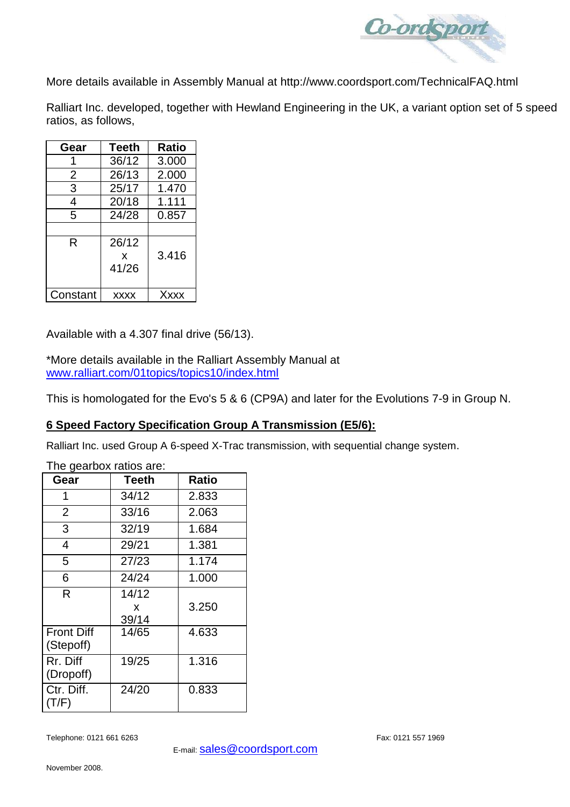

More details available in Assembly Manual at http://www.coordsport.com/TechnicalFAQ.html

Ralliart Inc. developed, together with Hewland Engineering in the UK, a variant option set of 5 speed ratios, as follows,

| Gear     | <b>Teeth</b> | Ratio |
|----------|--------------|-------|
|          | 36/12        | 3.000 |
| 2        | 26/13        | 2.000 |
| 3        | 25/17        | 1.470 |
| 4        | 20/18        | 1.111 |
| 5        | 24/28        | 0.857 |
|          |              |       |
| R        | 26/12        |       |
|          | x            | 3.416 |
|          | 41/26        |       |
|          |              |       |
| Constant | <b>XXXX</b>  | Xxxx  |

Available with a 4.307 final drive (56/13).

\*More details available in the Ralliart Assembly Manual at [www.ralliart.com/01topics/topics10/index.html](http://www.ralliart.com/01topics/topics10/index.html)

This is homologated for the Evo's 5 & 6 (CP9A) and later for the Evolutions 7-9 in Group N.

# **6 Speed Factory Specification Group A Transmission (E5/6):**

Ralliart Inc. used Group A 6-speed X-Trac transmission, with sequential change system.

| mo godibov ratios aro.         |                     |              |  |  |
|--------------------------------|---------------------|--------------|--|--|
| Gear                           | Teeth               | <b>Ratio</b> |  |  |
| 1                              | 34/12               | 2.833        |  |  |
| $\overline{2}$                 | 33/16               | 2.063        |  |  |
| 3                              | 32/19               | 1.684        |  |  |
| 4                              | 29/21               | 1.381        |  |  |
| 5                              | 27/23               | 1.174        |  |  |
| 6                              | 24/24               | 1.000        |  |  |
| R                              | 14/12<br>X<br>39/14 | 3.250        |  |  |
| <b>Front Diff</b><br>(Stepoff) | 14/65               | 4.633        |  |  |
| Rr. Diff<br>(Dropoff)          | 19/25               | 1.316        |  |  |
| Ctr. Diff.<br>(T/F)            | 24/20               | 0.833        |  |  |

The gearbox ratios are: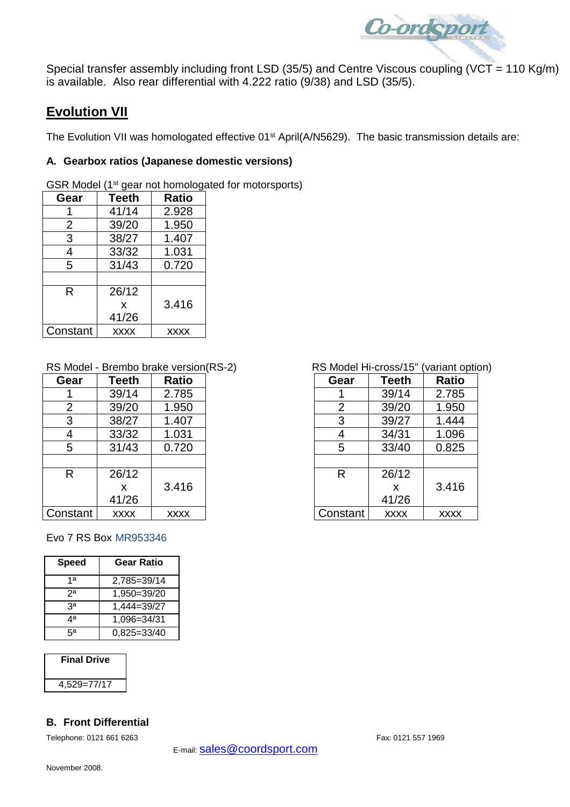

Special transfer assembly including front LSD (35/5) and Centre Viscous coupling (VCT = 110 Kg/m) is available. Also rear differential with 4.222 ratio (9/38) and LSD (35/5).

# **Evolution VII**

The Evolution VII was homologated effective 01<sup>st</sup> April(A/N5629). The basic transmission details are:

### **A. Gearbox ratios (Japanese domestic versions)**

GSR Model (1<sup>st</sup> gear not homologated for motorsports)

| Gear           | <b>Teeth</b> | <b>Ratio</b> |
|----------------|--------------|--------------|
|                | 41/14        | 2.928        |
| $\overline{2}$ | 39/20        | 1.950        |
| 3              | 38/27        | 1.407        |
| 4              | 33/32        | 1.031        |
| 5              | 31/43        | 0.720        |
|                |              |              |
| R              | 26/12        |              |
|                | X            | 3.416        |
|                | 41/26        |              |
| Constant       | <b>XXXX</b>  | XXXX         |

## RS Model - Brembo brake version(RS-2) RS Model Hi-cross/15" (variant option)

| Gear           | Teeth       | <b>Ratio</b> | Gear     | Teeth       | <b>Ratio</b> |
|----------------|-------------|--------------|----------|-------------|--------------|
|                | 39/14       | 2.785        |          | 39/14       | 2.785        |
| $\overline{2}$ | 39/20       | 1.950        | 2        | 39/20       | 1.950        |
| 3              | 38/27       | 1.407        | 3        | 39/27       | 1.444        |
| 4              | 33/32       | 1.031        | 4        | 34/31       | 1.096        |
| 5              | 31/43       | 0.720        | 5        | 33/40       | 0.825        |
|                |             |              |          |             |              |
| R              | 26/12       |              | R        | 26/12       |              |
|                | X           | 3.416        |          | x           | 3.416        |
|                | 41/26       |              |          | 41/26       |              |
| Constant       | <b>XXXX</b> | <b>XXXX</b>  | Constant | <b>XXXX</b> | <b>XXXX</b>  |

#### Evo 7 RS Box MR953346

| Speed | <b>Gear Ratio</b> |
|-------|-------------------|
| 1a    | 2,785=39/14       |
| 2a    | 1,950=39/20       |
| ٩ã    | 1,444=39/27       |
| ⊿a    | 1,096=34/31       |
| ца    | 0,825=33/40       |

#### **Final Drive**

4,529=77/17

## **B. Front Differential**

Telephone: 0121 661 6263 Fax: 0121 661 6263

| ear                     | Teeth       | <b>Ratio</b> | Gear     | <b>Teeth</b> | <b>Ratio</b> |
|-------------------------|-------------|--------------|----------|--------------|--------------|
|                         | 39/14       | 2.785        |          | 39/14        | 2.785        |
| $\overline{2}$          | 39/20       | 1.950        | 2        | 39/20        | 1.950        |
| $\overline{3}$          | 38/27       | 1.407        | 3        | 39/27        | 1.444        |
| 4                       | 33/32       | 1.031        | 4        | 34/31        | 1.096        |
| 5                       | 31/43       | 0.720        | 5        | 33/40        | 0.825        |
|                         |             |              |          |              |              |
| $\overline{\mathsf{R}}$ | 26/12       |              | R        | 26/12        |              |
|                         | X           | 3.416        |          | X            | 3.416        |
|                         | 41/26       |              |          | 41/26        |              |
| stant                   | <b>XXXX</b> | <b>XXXX</b>  | Constant | <b>XXXX</b>  | <b>XXXX</b>  |
|                         |             |              |          |              |              |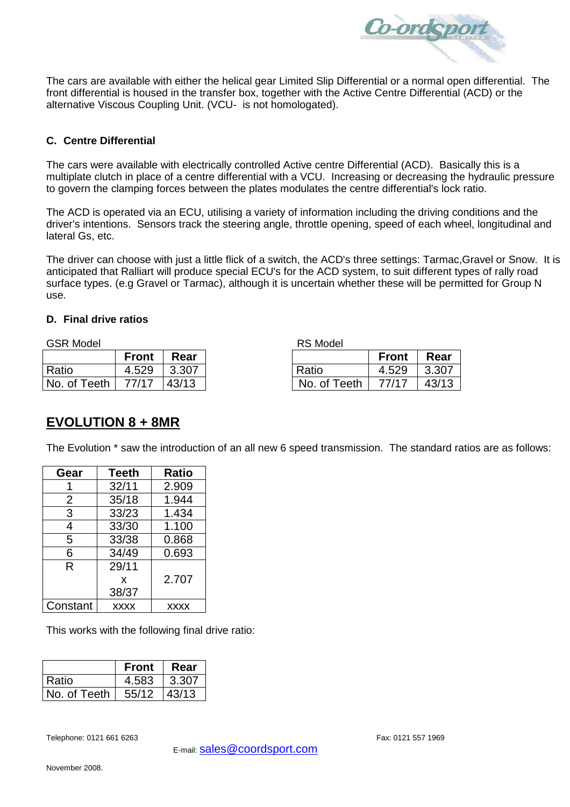

The cars are available with either the helical gear Limited Slip Differential or a normal open differential. The front differential is housed in the transfer box, together with the Active Centre Differential (ACD) or the alternative Viscous Coupling Unit. (VCU- is not homologated).

#### **C. Centre Differential**

The cars were available with electrically controlled Active centre Differential (ACD). Basically this is a multiplate clutch in place of a centre differential with a VCU. Increasing or decreasing the hydraulic pressure to govern the clamping forces between the plates modulates the centre differential's lock ratio.

The ACD is operated via an ECU, utilising a variety of information including the driving conditions and the driver's intentions. Sensors track the steering angle, throttle opening, speed of each wheel, longitudinal and lateral Gs, etc.

The driver can choose with just a little flick of a switch, the ACD's three settings: Tarmac,Gravel or Snow. It is anticipated that Ralliart will produce special ECU's for the ACD system, to suit different types of rally road surface types. (e.g Gravel or Tarmac), although it is uncertain whether these will be permitted for Group N use.

#### **D. Final drive ratios**

GSR Model **RS Model** RS Model

|                                | <b>Front</b> | ∣ Rear |              | <b>Front</b> | Rear          |
|--------------------------------|--------------|--------|--------------|--------------|---------------|
| Ratio                          | 4.529 3.307  |        | Ratio        | 4.529        | $\vert$ 3.307 |
| No. of Teeth   $77/17$   43/13 |              |        | No. of Teeth | 77/17        | 43/13         |

|       |       | <b>NO IVIUUU</b> |              |       |
|-------|-------|------------------|--------------|-------|
| Front | Rear  |                  | <b>Front</b> | Rear  |
| 4.529 | 3.307 | Ratio            | 4.529        | 3.307 |
| 77/17 | 43/13 | No. of Teeth     | 77/17        | 43/13 |

# **EVOLUTION 8 + 8MR**

The Evolution \* saw the introduction of an all new 6 speed transmission. The standard ratios are as follows:

| Gear           | Teeth       | <b>Ratio</b> |
|----------------|-------------|--------------|
|                | 32/11       | 2.909        |
| $\overline{2}$ | 35/18       | 1.944        |
| 3              | 33/23       | 1.434        |
| 4              | 33/30       | 1.100        |
| 5              | 33/38       | 0.868        |
| 6              | 34/49       | 0.693        |
| R              | 29/11       |              |
|                | X           | 2.707        |
|                | 38/37       |              |
| Constant       | <b>XXXX</b> | <b>XXXX</b>  |

This works with the following final drive ratio:

|              | <b>Front</b> | Rear  |
|--------------|--------------|-------|
| Ratio        | 4.583        | 3.307 |
| No. of Teeth | 55/12        | 43/13 |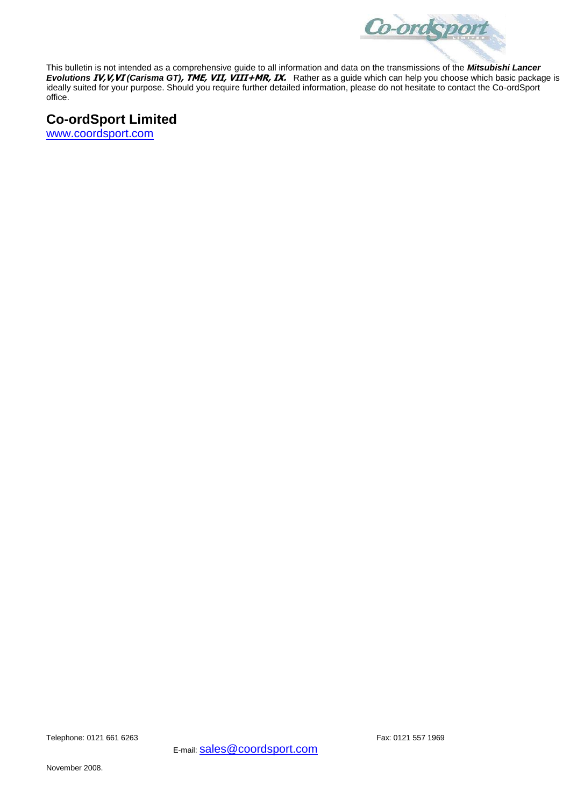

This bulletin is not intended as a comprehensive guide to all information and data on the transmissions of the *Mitsubishi Lancer Evolutions* **IV,V,VI** *(Carisma GT)***, TME, VII, VIII+MR, IX.** Rather as a guide which can help you choose which basic package is ideally suited for your purpose. Should you require further detailed information, please do not hesitate to contact the Co-ordSport office.

# **Co-ordSport Limited**

[www.coordsport.com](http://www.coordsport.com/)

Telephone: 0121 661 6263 Fax: 0121 557 1969

E-mail: **Sales@coordsport.com**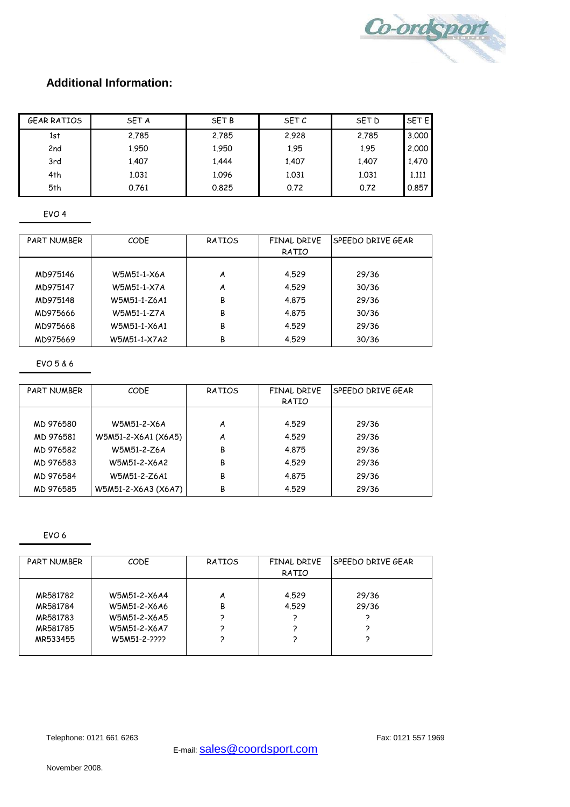

# **Additional Information:**

| <b>GEAR RATIOS</b> | <b>SET A</b> | <b>SET B</b> | SET C | SET D | <b>SET EI</b> |
|--------------------|--------------|--------------|-------|-------|---------------|
| 1st                | 2.785        | 2.785        | 2.928 | 2.785 | 3,000         |
| 2nd                | 1.950        | 1.950        | 1.95  | 1.95  | 2,000         |
| 3rd                | 1.407        | 1.444        | 1,407 | 1.407 | 1,470         |
| 4th                | 1.031        | 1.096        | 1.031 | 1.031 | 1.111         |
| 5th                | 0.761        | 0.825        | 0.72  | 0.72  | 0.857         |

EVO 4

| <b>PART NUMBER</b> | CODE         | RATIOS | FINAL DRIVE<br>RATIO | SPEEDO DRIVE GEAR |
|--------------------|--------------|--------|----------------------|-------------------|
|                    |              |        |                      |                   |
| MD975146           | W5M51-1-X6A  | A      | 4.529                | 29/36             |
| MD975147           | W5M51-1-X7A  | A      | 4.529                | 30/36             |
| MD975148           | W5M51-1-Z6A1 | В      | 4.875                | 29/36             |
| MD975666           | W5M51-1-Z7A  | В      | 4.875                | 30/36             |
| MD975668           | W5M51-1-X6A1 | В      | 4.529                | 29/36             |
| MD975669           | W5M51-1-X7A2 | В      | 4.529                | 30/36             |

EVO 5 & 6

| <b>PART NUMBER</b> | CODE                | RATIOS | FINAL DRIVE | SPEEDO DRIVE GEAR |
|--------------------|---------------------|--------|-------------|-------------------|
|                    |                     |        | RATIO       |                   |
|                    |                     |        |             |                   |
| MD 976580          | W5M51-2-X6A         | A      | 4.529       | 29/36             |
| MD 976581          | W5M51-2-X6A1 (X6A5) | A      | 4.529       | 29/36             |
| MD 976582          | W5M51-2-Z6A         | В      | 4.875       | 29/36             |
| MD 976583          | W5M51-2-X6A2        | В      | 4.529       | 29/36             |
| MD 976584          | W5M51-2-Z6A1        | B      | 4.875       | 29/36             |
| MD 976585          | W5M51-2-X6A3 (X6A7) | В      | 4.529       | 29/36             |
|                    |                     |        |             |                   |

EVO 6

| PART NUMBER | CODE         | RATIOS | FINAL DRIVE | ISPEEDO DRIVE GEAR |
|-------------|--------------|--------|-------------|--------------------|
|             |              |        | RATIO       |                    |
|             |              |        |             |                    |
| MR581782    | W5M51-2-X6A4 | A      | 4.529       | 29/36              |
| MR581784    | W5M51-2-X6A6 | B      | 4.529       | 29/36              |
| MR581783    | W5M51-2-X6A5 |        |             |                    |
| MR581785    | W5M51-2-X6A7 |        |             |                    |
| MR533455    | W5M51-2-2222 |        |             |                    |
|             |              |        |             |                    |

Telephone: 0121 661 6263 Fax: 0121 557 1969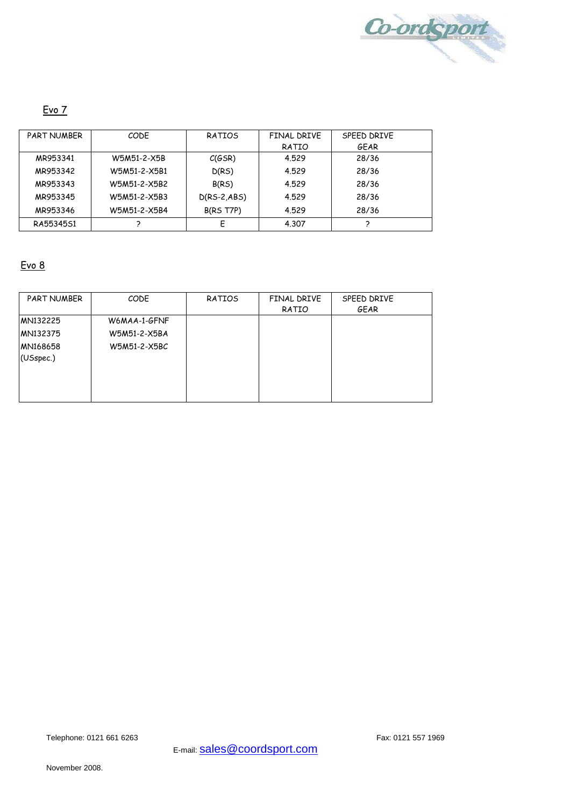

# Evo 7

| <b>PART NUMBER</b> | CODE         | RATIOS        | FINAL DRIVE | SPFFD DRIVE |
|--------------------|--------------|---------------|-------------|-------------|
|                    |              |               | RATIO       | GEAR        |
| MR953341           | W5M51-2-X5B  | C(GSR)        | 4.529       | 28/36       |
| MR953342           | W5M51-2-X5B1 | D(RS)         | 4.529       | 28/36       |
| MR953343           | W5M51-2-X5B2 | B(RS)         | 4.529       | 28/36       |
| MR953345           | W5M51-2-X5B3 | $D(RS-2,ABS)$ | 4.529       | 28/36       |
| MR953346           | W5M51-2-X5B4 | B(RS T7P)     | 4.529       | 28/36       |
| RA55345S1          |              | F             | 4.307       |             |

# Evo 8

| PART NUMBER | CODE         | RATIOS | FINAL DRIVE | SPEED DRIVE |
|-------------|--------------|--------|-------------|-------------|
|             |              |        | RATIO       | GEAR        |
| MN132225    | W6MAA-1-GFNF |        |             |             |
| MN132375    | W5M51-2-X5BA |        |             |             |
| MN168658    | W5M51-2-X5BC |        |             |             |
| (USspec.)   |              |        |             |             |
|             |              |        |             |             |
|             |              |        |             |             |
|             |              |        |             |             |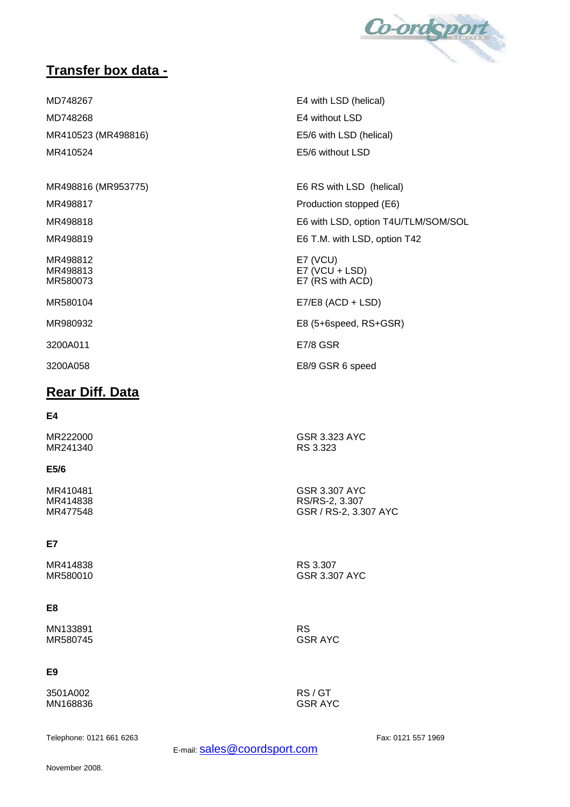

# **Transfer box data -**

MD748267 E4 with LSD (helical) MD748268 E4 without LSD MR410523 (MR498816) E5/6 with LSD (helical) MR410524 E5/6 without LSD

MR498816 (MR953775) E6 RS with LSD (helical)

MR498817 **Production stopped (E6)** 

MR498818 MR498818 CONSERVENT MESS E6 with LSD, option T4U/TLM/SOM/SOL

MR498819 E6 T.M. with LSD, option T42

MR498812 E7 (VCU) MR498813 E7 (VCU + LSD) MR580073 E7 (RS with ACD)

MR580104 E7/E8 (ACD + LSD)

MR980932 E8 (5+6speed, RS+GSR)

3200A011 E7/8 GSR

3200A058 E8/9 GSR 6 speed

# **Rear Diff. Data**

#### **E4**

MR222000 GSR 3.323 AYC MR241340

#### **E5/6**

MR410481 GSR 3.307 AYC MR414838 RS/RS-2, 3.307

#### **E7**

MR414838 RS 3.307

#### **E8**

MN133891 RS MR580745

#### **E9**

3501A002 RS / GT MN168836

GSR / RS-2, 3.307 AYC

**GSR 3.307 AYC** 

Telephone: 0121 661 6263 Fax: 0121 557 1969

E-mail: **Sales@coordsport.com**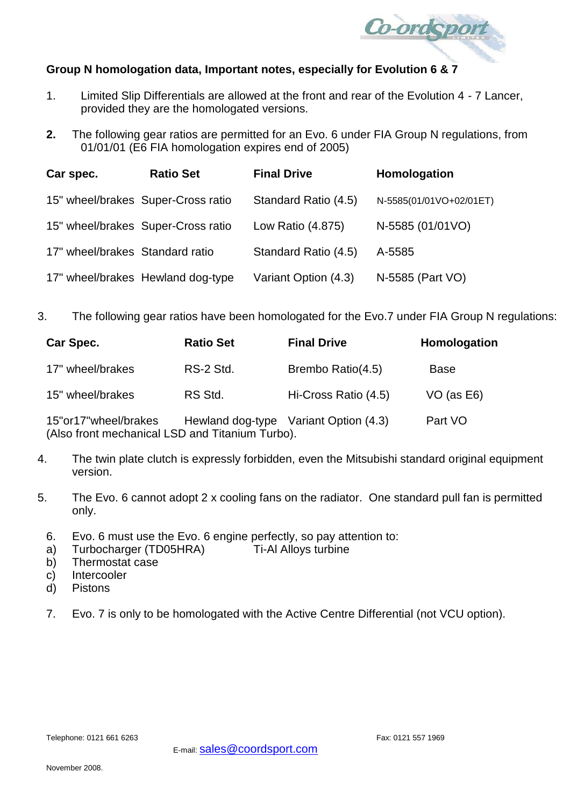

## **Group N homologation data, Important notes, especially for Evolution 6 & 7**

- 1. Limited Slip Differentials are allowed at the front and rear of the Evolution 4 7 Lancer, provided they are the homologated versions.
- **2.** The following gear ratios are permitted for an Evo. 6 under FIA Group N regulations, from 01/01/01 (E6 FIA homologation expires end of 2005)

| Car spec.                       | <b>Ratio Set</b>                   | <b>Final Drive</b>   | Homologation            |
|---------------------------------|------------------------------------|----------------------|-------------------------|
|                                 | 15" wheel/brakes Super-Cross ratio | Standard Ratio (4.5) | N-5585(01/01VO+02/01ET) |
|                                 | 15" wheel/brakes Super-Cross ratio | Low Ratio (4.875)    | N-5585 (01/01VO)        |
| 17" wheel/brakes Standard ratio |                                    | Standard Ratio (4.5) | A-5585                  |
|                                 | 17" wheel/brakes Hewland dog-type  | Variant Option (4.3) | N-5585 (Part VO)        |

3. The following gear ratios have been homologated for the Evo.7 under FIA Group N regulations:

| <b>Car Spec.</b>        | <b>Ratio Set</b> | <b>Final Drive</b>   | Homologation    |
|-------------------------|------------------|----------------------|-----------------|
| 17" wheel/brakes        | RS-2 Std.        | Brembo Ratio(4.5)    | <b>Base</b>     |
| 15" wheel/brakes        | RS Std.          | Hi-Cross Ratio (4.5) | $VO$ (as $E6$ ) |
| - 4 F !! - - 4 T !! 1 / |                  |                      | <b>D</b> - 110  |

15"or17"wheel/brakes Hewland dog-type Variant Option (4.3) Part VO (Also front mechanical LSD and Titanium Turbo).

- 4. The twin plate clutch is expressly forbidden, even the Mitsubishi standard original equipment version.
- 5. The Evo. 6 cannot adopt 2 x cooling fans on the radiator. One standard pull fan is permitted only.
	- 6. Evo. 6 must use the Evo. 6 engine perfectly, so pay attention to:
	- a) Turbocharger (TD05HRA) Ti-Al Alloys turbine
	- b) Thermostat case
	- c) Intercooler
	- d) Pistons
	- 7. Evo. 7 is only to be homologated with the Active Centre Differential (not VCU option).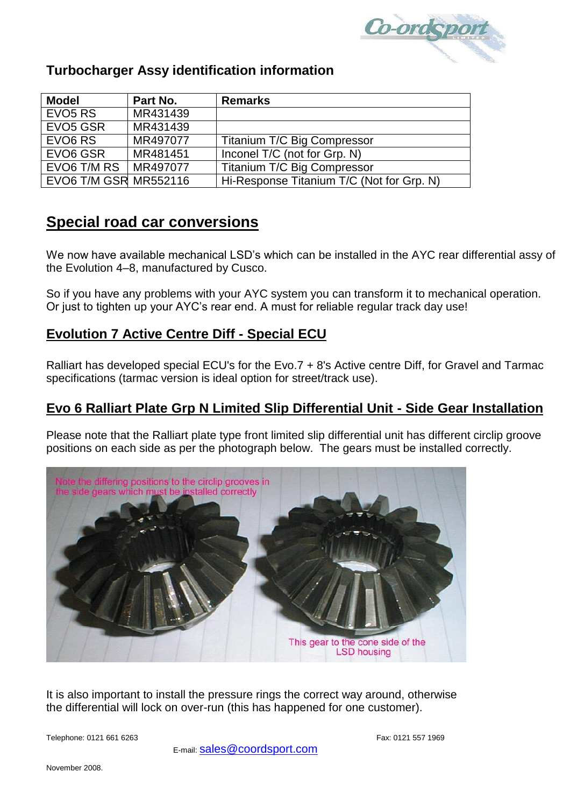

# **Turbocharger Assy identification information**

| <b>Model</b>                 | Part No. | <b>Remarks</b>                            |
|------------------------------|----------|-------------------------------------------|
| EVO <sub>5</sub> RS          | MR431439 |                                           |
| EVO <sub>5</sub> GSR         | MR431439 |                                           |
| EVO <sub>6</sub> RS          | MR497077 | Titanium T/C Big Compressor               |
| EVO6 GSR                     | MR481451 | Inconel T/C (not for Grp. N)              |
| EVO6 T/M RS                  | MR497077 | <b>Titanium T/C Big Compressor</b>        |
| <b>EVO6 T/M GSR MR552116</b> |          | Hi-Response Titanium T/C (Not for Grp. N) |

# **Special road car conversions**

We now have available mechanical LSD's which can be installed in the AYC rear differential assy of the Evolution 4–8, manufactured by Cusco.

So if you have any problems with your AYC system you can transform it to mechanical operation. Or just to tighten up your AYC's rear end. A must for reliable regular track day use!

# **Evolution 7 Active Centre Diff - Special ECU**

Ralliart has developed special ECU's for the Evo.7 + 8's Active centre Diff, for Gravel and Tarmac specifications (tarmac version is ideal option for street/track use).

# **Evo 6 Ralliart Plate Grp N Limited Slip Differential Unit - Side Gear Installation**

Please note that the Ralliart plate type front limited slip differential unit has different circlip groove positions on each side as per the photograph below. The gears must be installed correctly.



It is also important to install the pressure rings the correct way around, otherwise the differential will lock on over-run (this has happened for one customer).

Telephone: 0121 661 6263 Fax: 0121 557 1969

E-mail: [sales@coordsport.com](mailto:sales@coordsport.com)

November 2008.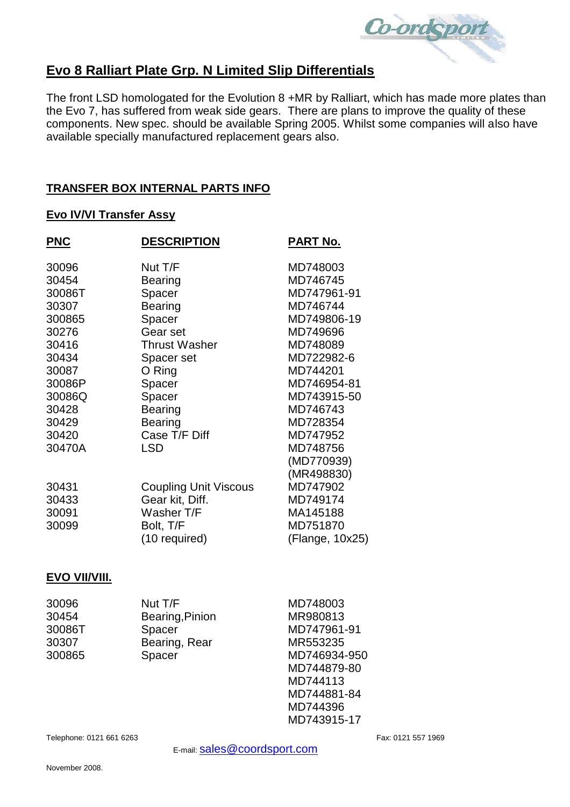

# **Evo 8 Ralliart Plate Grp. N Limited Slip Differentials**

The front LSD homologated for the Evolution 8 +MR by Ralliart, which has made more plates than the Evo 7, has suffered from weak side gears. There are plans to improve the quality of these components. New spec. should be available Spring 2005. Whilst some companies will also have available specially manufactured replacement gears also.

## **TRANSFER BOX INTERNAL PARTS INFO**

#### **Evo IV/VI Transfer Assy**

| <b>PNC</b> | <b>DESCRIPTION</b>           | <b>PART No.</b> |
|------------|------------------------------|-----------------|
| 30096      | Nut T/F                      | MD748003        |
| 30454      | Bearing                      | MD746745        |
| 30086T     | Spacer                       | MD747961-91     |
| 30307      | Bearing                      | MD746744        |
| 300865     | Spacer                       | MD749806-19     |
| 30276      | Gear set                     | MD749696        |
| 30416      | <b>Thrust Washer</b>         | MD748089        |
| 30434      | Spacer set                   | MD722982-6      |
| 30087      | O Ring                       | MD744201        |
| 30086P     | Spacer                       | MD746954-81     |
| 30086Q     | Spacer                       | MD743915-50     |
| 30428      | <b>Bearing</b>               | MD746743        |
| 30429      | Bearing                      | MD728354        |
| 30420      | Case T/F Diff                | MD747952        |
| 30470A     | <b>LSD</b>                   | MD748756        |
|            |                              | (MD770939)      |
|            |                              | (MR498830)      |
| 30431      | <b>Coupling Unit Viscous</b> | MD747902        |
| 30433      | Gear kit, Diff.              | MD749174        |
| 30091      | Washer T/F                   | MA145188        |
| 30099      | Bolt, T/F                    | MD751870        |
|            | (10 required)                | (Flange, 10x25) |

## **EVO VII/VIII.**

| 30096  | Nut T/F         | MD748003     |
|--------|-----------------|--------------|
| 30454  | Bearing, Pinion | MR980813     |
| 30086T | Spacer          | MD747961-91  |
| 30307  | Bearing, Rear   | MR553235     |
| 300865 | Spacer          | MD746934-950 |
|        |                 | MD744879-80  |
|        |                 | MD744113     |
|        |                 | MD744881-84  |
|        |                 | MD744396     |
|        |                 | MD743915-17  |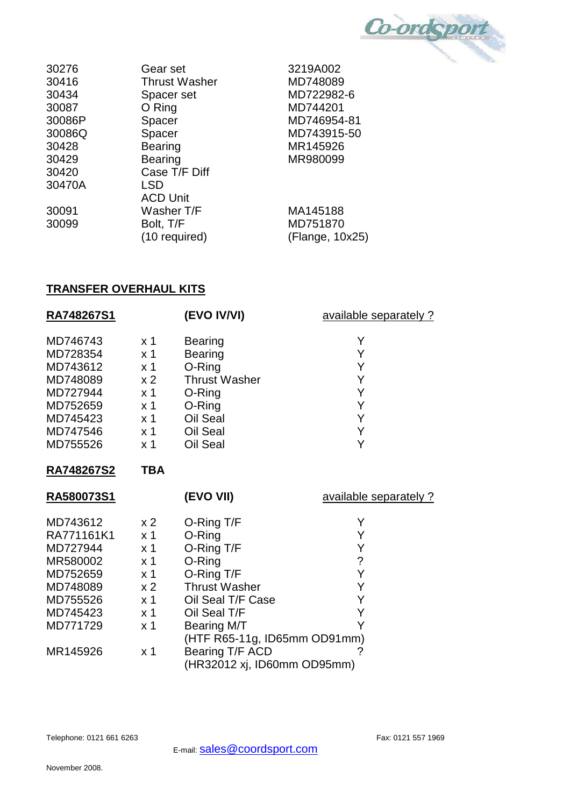Co-ordsport

| 30276  | Gear set             | 3219A002        |
|--------|----------------------|-----------------|
| 30416  | <b>Thrust Washer</b> | MD748089        |
| 30434  | Spacer set           | MD722982-6      |
| 30087  | O Ring               | MD744201        |
| 30086P | Spacer               | MD746954-81     |
| 30086Q | Spacer               | MD743915-50     |
| 30428  | <b>Bearing</b>       | MR145926        |
| 30429  | <b>Bearing</b>       | MR980099        |
| 30420  | Case T/F Diff        |                 |
| 30470A | <b>LSD</b>           |                 |
|        | <b>ACD Unit</b>      |                 |
| 30091  | Washer T/F           | MA145188        |
| 30099  | Bolt, T/F            | MD751870        |
|        | (10 required)        | (Flange, 10x25) |
|        |                      |                 |

# **TRANSFER OVERHAUL KITS**

| RA748267S1                                                                                                 |                                                                                                                                                     | (EVO IV/VI)                                                                                                                                                            | available separately ?                                       |
|------------------------------------------------------------------------------------------------------------|-----------------------------------------------------------------------------------------------------------------------------------------------------|------------------------------------------------------------------------------------------------------------------------------------------------------------------------|--------------------------------------------------------------|
| MD746743<br>MD728354<br>MD743612<br>MD748089<br>MD727944<br>MD752659<br>MD745423<br>MD747546<br>MD755526   | x <sub>1</sub><br>x <sub>1</sub><br>x 1<br>x <sub>2</sub><br>x <sub>1</sub><br>x <sub>1</sub><br>x <sub>1</sub><br>x <sub>1</sub><br>x <sub>1</sub> | <b>Bearing</b><br>Bearing<br>O-Ring<br><b>Thrust Washer</b><br>O-Ring<br>O-Ring<br>Oil Seal<br>Oil Seal<br>Oil Seal                                                    | Υ<br>Y<br>Y<br>Υ<br>Y<br>Υ<br>Y<br>Y<br>Y                    |
| RA748267S2                                                                                                 | <b>TBA</b>                                                                                                                                          |                                                                                                                                                                        |                                                              |
| RA580073S1                                                                                                 |                                                                                                                                                     | (EVO VII)                                                                                                                                                              | available separately ?                                       |
| MD743612<br>RA771161K1<br>MD727944<br>MR580002<br>MD752659<br>MD748089<br>MD755526<br>MD745423<br>MD771729 | x <sub>2</sub><br>x <sub>1</sub><br>x <sub>1</sub><br>x <sub>1</sub><br>x 1<br>x <sub>2</sub><br>x <sub>1</sub><br>x <sub>1</sub><br>x <sub>1</sub> | O-Ring T/F<br>O-Ring<br>O-Ring T/F<br>O-Ring<br>O-Ring T/F<br><b>Thrust Washer</b><br>Oil Seal T/F Case<br>Oil Seal T/F<br>Bearing M/T<br>(HTF R65-11g, ID65mm OD91mm) | Y<br>Υ<br>Y<br>$\ddot{\phantom{0}}$<br>Y<br>Υ<br>Y<br>Y<br>Y |
| MR145926                                                                                                   | x <sub>1</sub>                                                                                                                                      | Bearing T/F ACD<br>(HR32012 xj, ID60mm OD95mm)                                                                                                                         | ?                                                            |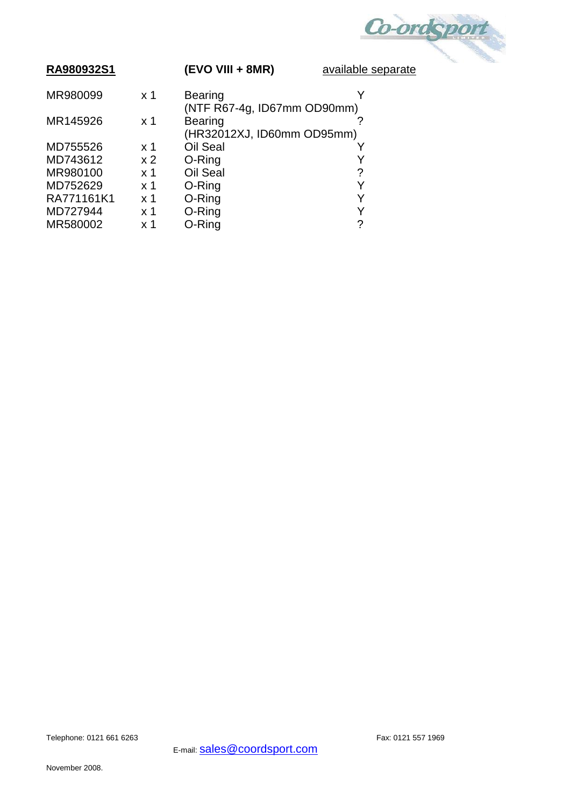

| RA980932S1 |                | (EVO VIII + 8MR)                              | available |
|------------|----------------|-----------------------------------------------|-----------|
| MR980099   | $\times$ 1     | <b>Bearing</b>                                |           |
| MR145926   | $\times$ 1     | (NTF R67-4g, ID67mm OD90mm)<br><b>Bearing</b> |           |
|            |                | (HR32012XJ, ID60mm OD95mm)                    |           |
| MD755526   | $\times$ 1     | Oil Seal                                      |           |
| MD743612   | x <sub>2</sub> | O-Ring                                        |           |
| MR980100   | x 1            | Oil Seal                                      | ?         |
| MD752629   | x 1            | O-Ring                                        |           |
| RA771161K1 | $\times$ 1     | O-Ring                                        | Y         |
| MD727944   | x 1            | O-Ring                                        |           |
| MR580002   | x 1            | O-Ring                                        | ?         |

Telephone: 0121 661 6263 Fax: 0121 557 1969

E-mail: **Sales@coordsport.com** 

November 2008.